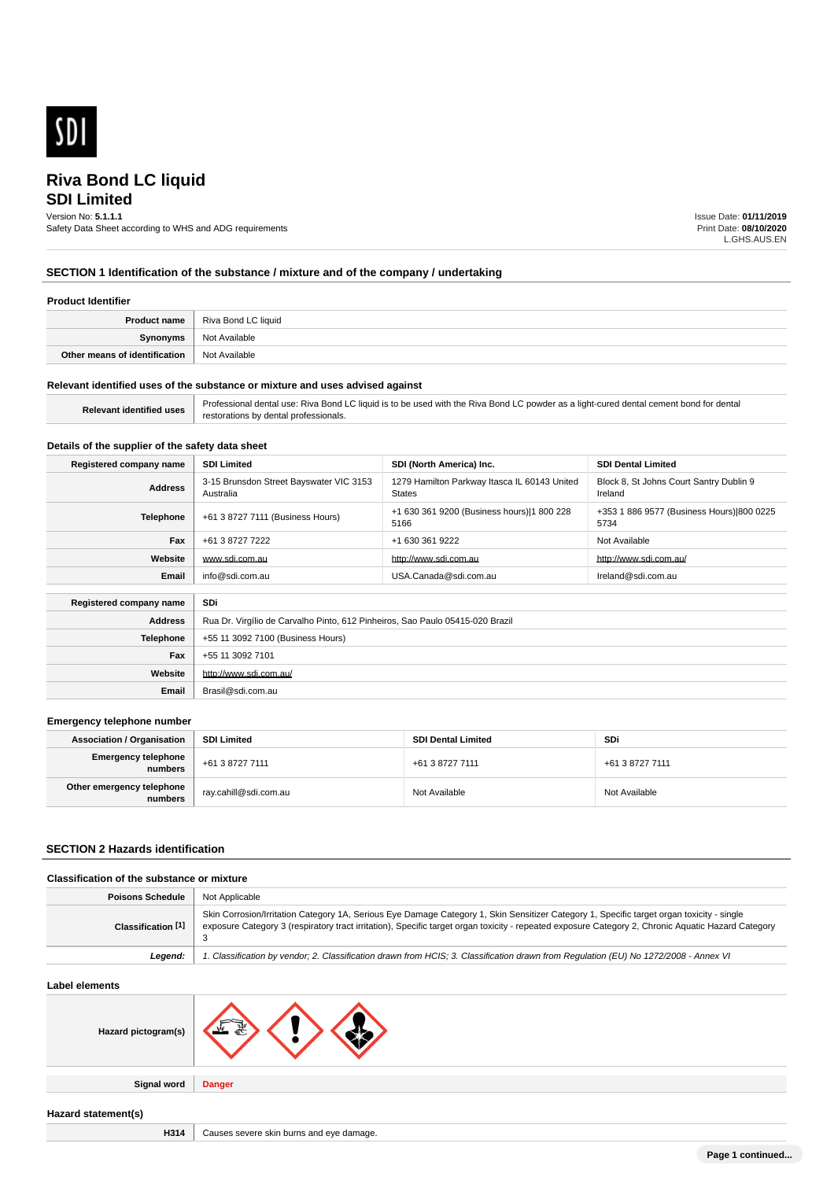

# **SDI Limited**

Version No: **5.1.1.1**

Safety Data Sheet according to WHS and ADG requirements

Issue Date: **01/11/2019** Print Date: **08/10/2020** L.GHS.AUS.EN

## **SECTION 1 Identification of the substance / mixture and of the company / undertaking**

### **Product Identifier**

|                               | <b>Product name</b>   Riva Bond LC liquid |
|-------------------------------|-------------------------------------------|
| <b>Synonyms</b>               | Not Available                             |
| Other means of identification | ' Not Available                           |

#### **Relevant identified uses of the substance or mixture and uses advised against**

| <b>Relevant identified uses</b> | Professional dental use: Riva Bond LC liquid is to be used with the Riva Bond LC powder as a light-cured dental cement bond for dental |
|---------------------------------|----------------------------------------------------------------------------------------------------------------------------------------|
|                                 | restorations by dental professionals.                                                                                                  |

## **Details of the supplier of the safety data sheet**

| Registered company name | <b>SDI Limited</b>                                                            | SDI (North America) Inc.                                      | <b>SDI Dental Limited</b>                          |
|-------------------------|-------------------------------------------------------------------------------|---------------------------------------------------------------|----------------------------------------------------|
| <b>Address</b>          | 3-15 Brunsdon Street Bayswater VIC 3153<br>Australia                          | 1279 Hamilton Parkway Itasca IL 60143 United<br><b>States</b> | Block 8, St Johns Court Santry Dublin 9<br>Ireland |
| <b>Telephone</b>        | +61 3 8727 7111 (Business Hours)                                              | +1 630 361 9200 (Business hours) 1 800 228<br>5166            | +353 1 886 9577 (Business Hours) 800 0225<br>5734  |
| Fax                     | +61 3 8727 7222                                                               | +1 630 361 9222                                               | Not Available                                      |
| Website                 | www.sdi.com.au                                                                | http://www.sdi.com.au                                         | http://www.sdi.com.au/                             |
| Email                   | info@sdi.com.au                                                               | USA.Canada@sdi.com.au                                         | Ireland@sdi.com.au                                 |
| Registered company name | SDi                                                                           |                                                               |                                                    |
| <b>Address</b>          | Rua Dr. Virgílio de Carvalho Pinto, 612 Pinheiros, Sao Paulo 05415-020 Brazil |                                                               |                                                    |
| <b>Telephone</b>        | +55 11 3092 7100 (Business Hours)                                             |                                                               |                                                    |
| Fax                     | +55 11 3092 7101                                                              |                                                               |                                                    |
| Website                 | http://www.sdi.com.au/                                                        |                                                               |                                                    |
| Email                   | Brasil@sdi.com.au                                                             |                                                               |                                                    |

#### **Emergency telephone number**

| <b>Association / Organisation</b>      | <b>SDI Limited</b>    | <b>SDI Dental Limited</b> | <b>SDi</b>      |
|----------------------------------------|-----------------------|---------------------------|-----------------|
| <b>Emergency telephone</b><br>numbers. | +61 3 8727 7111       | +61 3 8727 7111           | +61 3 8727 7111 |
| Other emergency telephone<br>numbers   | ray.cahill@sdi.com.au | Not Available             | Not Available   |

#### **SECTION 2 Hazards identification**

## **Classification of the substance or mixture**

| <b>Poisons Schedule</b>       | Not Applicable                                                                                                                                                                                                                                                                                  |
|-------------------------------|-------------------------------------------------------------------------------------------------------------------------------------------------------------------------------------------------------------------------------------------------------------------------------------------------|
| Classification <sup>[1]</sup> | Skin Corrosion/Irritation Category 1A, Serious Eye Damage Category 1, Skin Sensitizer Category 1, Specific target organ toxicity - single<br>exposure Category 3 (respiratory tract irritation), Specific target organ toxicity - repeated exposure Category 2, Chronic Aquatic Hazard Category |
| Leaend:                       | 1. Classification by vendor; 2. Classification drawn from HCIS; 3. Classification drawn from Regulation (EU) No 1272/2008 - Annex VI                                                                                                                                                            |

| Label elements      |                                          |
|---------------------|------------------------------------------|
| Hazard pictogram(s) | —                                        |
| Signal word         | <b>Danger</b>                            |
| Hazard statement(s) |                                          |
| H314                | Causes severe skin burns and eye damage. |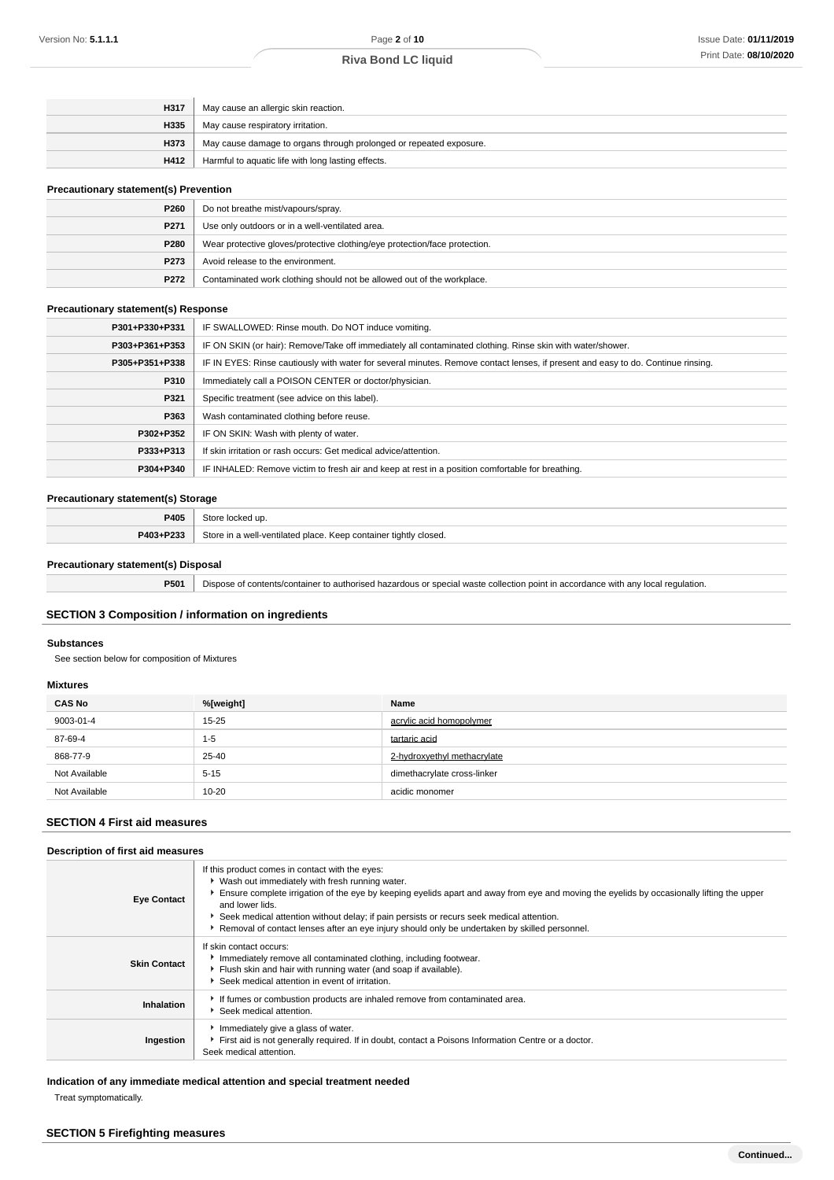| H317 | May cause an allergic skin reaction.                               |
|------|--------------------------------------------------------------------|
| H335 | May cause respiratory irritation.                                  |
| H373 | May cause damage to organs through prolonged or repeated exposure. |
| H412 | Harmful to aquatic life with long lasting effects.                 |

#### **Precautionary statement(s) Prevention**

| P260 | Do not breathe mist/vapours/spray.                                         |
|------|----------------------------------------------------------------------------|
| P271 | Use only outdoors or in a well-ventilated area.                            |
| P280 | Wear protective gloves/protective clothing/eye protection/face protection. |
| P273 | Avoid release to the environment.                                          |
| P272 | Contaminated work clothing should not be allowed out of the workplace.     |

#### **Precautionary statement(s) Response**

| P301+P330+P331 | IF SWALLOWED: Rinse mouth. Do NOT induce vomiting.                                                                               |
|----------------|----------------------------------------------------------------------------------------------------------------------------------|
| P303+P361+P353 | IF ON SKIN (or hair): Remove/Take off immediately all contaminated clothing. Rinse skin with water/shower.                       |
| P305+P351+P338 | IF IN EYES: Rinse cautiously with water for several minutes. Remove contact lenses, if present and easy to do. Continue rinsing. |
| P310           | Immediately call a POISON CENTER or doctor/physician.                                                                            |
| P321           | Specific treatment (see advice on this label).                                                                                   |
| P363           | Wash contaminated clothing before reuse.                                                                                         |
| P302+P352      | IF ON SKIN: Wash with plenty of water.                                                                                           |
| P333+P313      | If skin irritation or rash occurs: Get medical advice/attention.                                                                 |
| P304+P340      | IF INHALED: Remove victim to fresh air and keep at rest in a position comfortable for breathing.                                 |

## **Precautionary statement(s) Storage**

| P405                                   | store.<br>$\sim$<br>.                                                                                   |
|----------------------------------------|---------------------------------------------------------------------------------------------------------|
| . <b>Then</b><br><b>DA03</b><br>$\sim$ | Store<br>tightly<br>container<br>closed.<br>I-ventilated place<br>$\mathsf{m} \circ \mathsf{m}$<br>Keep |

#### **Precautionary statement(s) Disposal**

**P501** Dispose of contents/container to authorised hazardous or special waste collection point in accordance with any local regulation.

## **SECTION 3 Composition / information on ingredients**

#### **Substances**

See section below for composition of Mixtures

### **Mixtures**

| <b>CAS No</b> | %[weight] | Name                        |
|---------------|-----------|-----------------------------|
| 9003-01-4     | $15 - 25$ | acrylic acid homopolymer    |
| 87-69-4       | $1 - 5$   | tartaric acid               |
| 868-77-9      | 25-40     | 2-hydroxyethyl methacrylate |
| Not Available | $5 - 15$  | dimethacrylate cross-linker |
| Not Available | $10 - 20$ | acidic monomer              |

## **SECTION 4 First aid measures**

## **Description of first aid measures**

| <b>Eye Contact</b>  | If this product comes in contact with the eyes:<br>▶ Wash out immediately with fresh running water.<br>Ensure complete irrigation of the eye by keeping eyelids apart and away from eye and moving the eyelids by occasionally lifting the upper<br>and lower lids.<br>Seek medical attention without delay; if pain persists or recurs seek medical attention.<br>Removal of contact lenses after an eye injury should only be undertaken by skilled personnel. |
|---------------------|------------------------------------------------------------------------------------------------------------------------------------------------------------------------------------------------------------------------------------------------------------------------------------------------------------------------------------------------------------------------------------------------------------------------------------------------------------------|
| <b>Skin Contact</b> | If skin contact occurs:<br>Immediately remove all contaminated clothing, including footwear.<br>Flush skin and hair with running water (and soap if available).<br>Seek medical attention in event of irritation.                                                                                                                                                                                                                                                |
| Inhalation          | If fumes or combustion products are inhaled remove from contaminated area.<br>▶ Seek medical attention.                                                                                                                                                                                                                                                                                                                                                          |
| Ingestion           | Immediately give a glass of water.<br>First aid is not generally required. If in doubt, contact a Poisons Information Centre or a doctor.<br>Seek medical attention.                                                                                                                                                                                                                                                                                             |

## **Indication of any immediate medical attention and special treatment needed**

Treat symptomatically.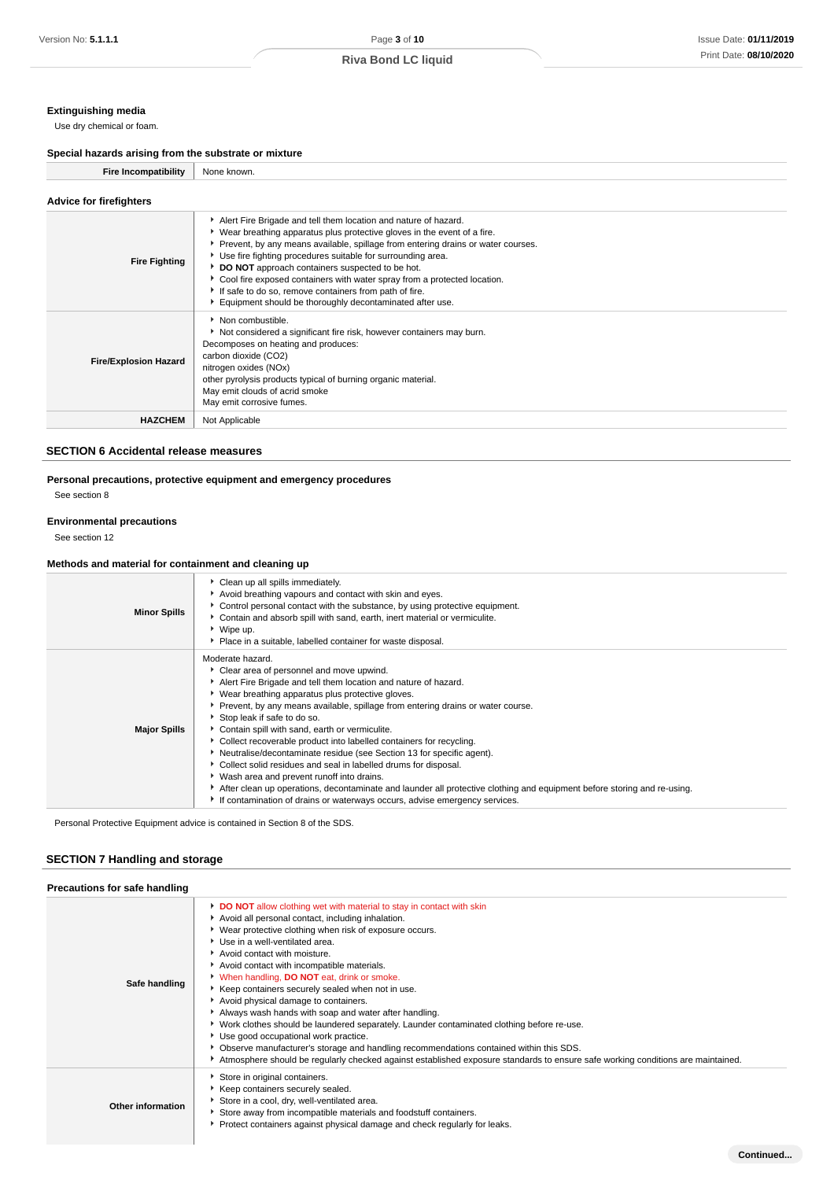## **Extinguishing media**

Use dry chemical or foam.

## **Special hazards arising from the substrate or mixture**

| Special nazards arising from the substrate or mixture |                                                                                                                                                                                                                                                                                                                                                                                                                                                                                                                                                      |
|-------------------------------------------------------|------------------------------------------------------------------------------------------------------------------------------------------------------------------------------------------------------------------------------------------------------------------------------------------------------------------------------------------------------------------------------------------------------------------------------------------------------------------------------------------------------------------------------------------------------|
| <b>Fire Incompatibility</b>                           | None known.                                                                                                                                                                                                                                                                                                                                                                                                                                                                                                                                          |
| <b>Advice for firefighters</b>                        |                                                                                                                                                                                                                                                                                                                                                                                                                                                                                                                                                      |
| <b>Fire Fighting</b>                                  | Alert Fire Brigade and tell them location and nature of hazard.<br>▶ Wear breathing apparatus plus protective gloves in the event of a fire.<br>Prevent, by any means available, spillage from entering drains or water courses.<br>Use fire fighting procedures suitable for surrounding area.<br>DO NOT approach containers suspected to be hot.<br>Cool fire exposed containers with water spray from a protected location.<br>If safe to do so, remove containers from path of fire.<br>Equipment should be thoroughly decontaminated after use. |
| <b>Fire/Explosion Hazard</b>                          | Non combustible.<br>Not considered a significant fire risk, however containers may burn.<br>Decomposes on heating and produces:<br>carbon dioxide (CO2)<br>nitrogen oxides (NOx)<br>other pyrolysis products typical of burning organic material.<br>May emit clouds of acrid smoke<br>May emit corrosive fumes.                                                                                                                                                                                                                                     |
| <b>HAZCHEM</b>                                        | Not Applicable                                                                                                                                                                                                                                                                                                                                                                                                                                                                                                                                       |

## **SECTION 6 Accidental release measures**

## **Personal precautions, protective equipment and emergency procedures**

See section 8

#### **Environmental precautions**

See section 12

## **Methods and material for containment and cleaning up**

| <b>Minor Spills</b> | Clean up all spills immediately.<br>Avoid breathing vapours and contact with skin and eyes.<br>► Control personal contact with the substance, by using protective equipment.<br>Contain and absorb spill with sand, earth, inert material or vermiculite.<br>▶ Wipe up.<br>• Place in a suitable, labelled container for waste disposal.                                                                                                                                                                                                                                                                                                                                                                                                                                                                                                   |
|---------------------|--------------------------------------------------------------------------------------------------------------------------------------------------------------------------------------------------------------------------------------------------------------------------------------------------------------------------------------------------------------------------------------------------------------------------------------------------------------------------------------------------------------------------------------------------------------------------------------------------------------------------------------------------------------------------------------------------------------------------------------------------------------------------------------------------------------------------------------------|
| <b>Major Spills</b> | Moderate hazard.<br>Clear area of personnel and move upwind.<br>Alert Fire Brigade and tell them location and nature of hazard.<br>▶ Wear breathing apparatus plus protective gloves.<br>▶ Prevent, by any means available, spillage from entering drains or water course.<br>Stop leak if safe to do so.<br>Contain spill with sand, earth or vermiculite.<br>• Collect recoverable product into labelled containers for recycling.<br>▶ Neutralise/decontaminate residue (see Section 13 for specific agent).<br>Collect solid residues and seal in labelled drums for disposal.<br>• Wash area and prevent runoff into drains.<br>After clean up operations, decontaminate and launder all protective clothing and equipment before storing and re-using.<br>If contamination of drains or waterways occurs, advise emergency services. |

Personal Protective Equipment advice is contained in Section 8 of the SDS.

## **SECTION 7 Handling and storage**

| Precautions for safe handling |                                                                                                                                                                                                                                                                                                                                                                                                                                                                                                                                                                                                                                                                                                                                                                                                                                                                                                  |
|-------------------------------|--------------------------------------------------------------------------------------------------------------------------------------------------------------------------------------------------------------------------------------------------------------------------------------------------------------------------------------------------------------------------------------------------------------------------------------------------------------------------------------------------------------------------------------------------------------------------------------------------------------------------------------------------------------------------------------------------------------------------------------------------------------------------------------------------------------------------------------------------------------------------------------------------|
| Safe handling                 | <b>DO NOT</b> allow clothing wet with material to stay in contact with skin<br>Avoid all personal contact, including inhalation.<br>▶ Wear protective clothing when risk of exposure occurs.<br>▶ Use in a well-ventilated area.<br>Avoid contact with moisture.<br>Avoid contact with incompatible materials.<br>When handling, <b>DO NOT</b> eat, drink or smoke.<br>Keep containers securely sealed when not in use.<br>Avoid physical damage to containers.<br>Always wash hands with soap and water after handling.<br>► Work clothes should be laundered separately. Launder contaminated clothing before re-use.<br>▶ Use good occupational work practice.<br>• Observe manufacturer's storage and handling recommendations contained within this SDS.<br>Atmosphere should be regularly checked against established exposure standards to ensure safe working conditions are maintained. |
| Other information             | Store in original containers.<br>Keep containers securely sealed.<br>Store in a cool, dry, well-ventilated area.<br>Store away from incompatible materials and foodstuff containers.<br>▶ Protect containers against physical damage and check regularly for leaks.                                                                                                                                                                                                                                                                                                                                                                                                                                                                                                                                                                                                                              |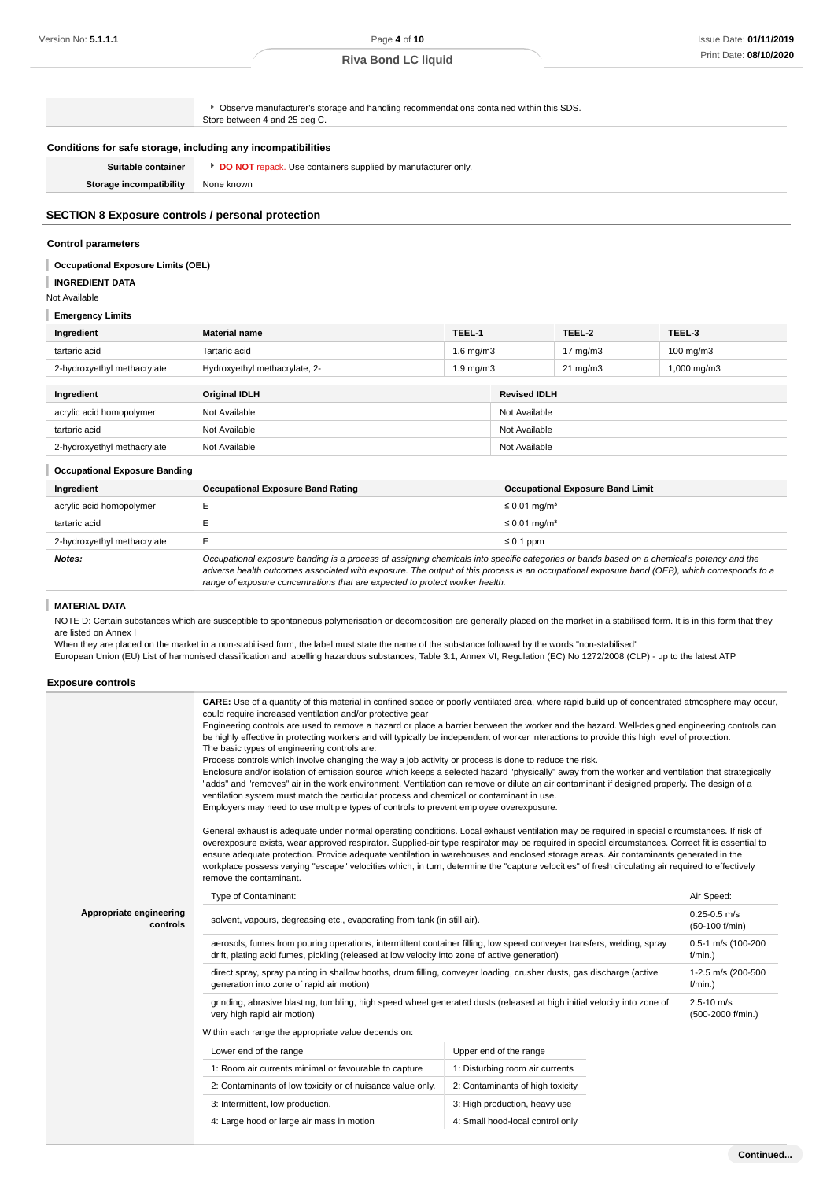|                                                              | • Observe manufacturer's storage and handling recommendations contained within this SDS.<br>Store between 4 and 25 deg C. |  |
|--------------------------------------------------------------|---------------------------------------------------------------------------------------------------------------------------|--|
| Conditions for safe storage, including any incompatibilities |                                                                                                                           |  |
| Suitable container                                           | <b>DO NOT</b> repack. Use containers supplied by manufacturer only.                                                       |  |
| Storage incompatibility                                      | None known                                                                                                                |  |
|                                                              |                                                                                                                           |  |

## **SECTION 8 Exposure controls / personal protection**

#### **Control parameters**

#### **Occupational Exposure Limits (OEL)**

**INGREDIENT DATA**

Not Available

#### **Emergency Limits**

| Ingredient                  | <b>Material name</b>          | TEEL-1             |                     | TEEL-2            | TEEL-3                  |
|-----------------------------|-------------------------------|--------------------|---------------------|-------------------|-------------------------|
| tartaric acid               | Tartaric acid                 | $1.6 \text{ mg/m}$ |                     | 17 mg/m $3$       | $100 \text{ mg/m}$ 3    |
| 2-hydroxyethyl methacrylate | Hydroxyethyl methacrylate, 2- | $1.9 \text{ mg/m}$ |                     | $21 \text{ mg/m}$ | $1,000 \,\mathrm{mg/m}$ |
|                             |                               |                    |                     |                   |                         |
| Ingredient                  | <b>Original IDLH</b>          |                    | <b>Revised IDLH</b> |                   |                         |

| Ingredient                  | Original IDLH | <b>Revised IDLH</b> |
|-----------------------------|---------------|---------------------|
| acrylic acid homopolymer    | Not Available | Not Available       |
| tartaric acid               | Not Available | Not Available       |
| 2-hydroxyethyl methacrylate | Not Available | Not Available       |

#### **Occupational Exposure Banding**

| Ingredient                  | <b>Occupational Exposure Band Rating</b>                                                                                                                                                                                                                                                                                                                                 | <b>Occupational Exposure Band Limit</b> |
|-----------------------------|--------------------------------------------------------------------------------------------------------------------------------------------------------------------------------------------------------------------------------------------------------------------------------------------------------------------------------------------------------------------------|-----------------------------------------|
| acrylic acid homopolymer    |                                                                                                                                                                                                                                                                                                                                                                          | $\leq$ 0.01 mg/m <sup>3</sup>           |
| tartaric acid               |                                                                                                                                                                                                                                                                                                                                                                          | $\leq$ 0.01 mg/m <sup>3</sup>           |
| 2-hydroxyethyl methacrylate | $\leq 0.1$ ppm                                                                                                                                                                                                                                                                                                                                                           |                                         |
| Notes:                      | Occupational exposure banding is a process of assigning chemicals into specific categories or bands based on a chemical's potency and the<br>adverse health outcomes associated with exposure. The output of this process is an occupational exposure band (OEB), which corresponds to a<br>range of exposure concentrations that are expected to protect worker health. |                                         |

#### I **MATERIAL DATA**

NOTE D: Certain substances which are susceptible to spontaneous polymerisation or decomposition are generally placed on the market in a stabilised form. It is in this form that they are listed on Annex I

When they are placed on the market in a non-stabilised form, the label must state the name of the substance followed by the words "non-stabilised"

European Union (EU) List of harmonised classification and labelling hazardous substances, Table 3.1, Annex VI, Regulation (EC) No 1272/2008 (CLP) - up to the latest ATP

#### **Exposure controls**

| CARE: Use of a quantity of this material in confined space or poorly ventilated area, where rapid build up of concentrated atmosphere may occur,<br>could require increased ventilation and/or protective gear<br>Engineering controls are used to remove a hazard or place a barrier between the worker and the hazard. Well-designed engineering controls can<br>be highly effective in protecting workers and will typically be independent of worker interactions to provide this high level of protection.<br>The basic types of engineering controls are:<br>Process controls which involve changing the way a job activity or process is done to reduce the risk.<br>Enclosure and/or isolation of emission source which keeps a selected hazard "physically" away from the worker and ventilation that strategically<br>"adds" and "removes" air in the work environment. Ventilation can remove or dilute an air contaminant if designed properly. The design of a<br>ventilation system must match the particular process and chemical or contaminant in use.<br>Employers may need to use multiple types of controls to prevent employee overexposure.<br>General exhaust is adequate under normal operating conditions. Local exhaust ventilation may be required in special circumstances. If risk of<br>overexposure exists, wear approved respirator. Supplied-air type respirator may be required in special circumstances. Correct fit is essential to<br>ensure adequate protection. Provide adequate ventilation in warehouses and enclosed storage areas. Air contaminants generated in the<br>workplace possess varying "escape" velocities which, in turn, determine the "capture velocities" of fresh circulating air required to effectively<br>remove the contaminant. |                                                                                                                                                                                                                        |                                    |                                     |
|-------------------------------------------------------------------------------------------------------------------------------------------------------------------------------------------------------------------------------------------------------------------------------------------------------------------------------------------------------------------------------------------------------------------------------------------------------------------------------------------------------------------------------------------------------------------------------------------------------------------------------------------------------------------------------------------------------------------------------------------------------------------------------------------------------------------------------------------------------------------------------------------------------------------------------------------------------------------------------------------------------------------------------------------------------------------------------------------------------------------------------------------------------------------------------------------------------------------------------------------------------------------------------------------------------------------------------------------------------------------------------------------------------------------------------------------------------------------------------------------------------------------------------------------------------------------------------------------------------------------------------------------------------------------------------------------------------------------------------------------------------------------------------------------------|------------------------------------------------------------------------------------------------------------------------------------------------------------------------------------------------------------------------|------------------------------------|-------------------------------------|
|                                                                                                                                                                                                                                                                                                                                                                                                                                                                                                                                                                                                                                                                                                                                                                                                                                                                                                                                                                                                                                                                                                                                                                                                                                                                                                                                                                                                                                                                                                                                                                                                                                                                                                                                                                                                 | Type of Contaminant:                                                                                                                                                                                                   | Air Speed:                         |                                     |
| Appropriate engineering<br>controls                                                                                                                                                                                                                                                                                                                                                                                                                                                                                                                                                                                                                                                                                                                                                                                                                                                                                                                                                                                                                                                                                                                                                                                                                                                                                                                                                                                                                                                                                                                                                                                                                                                                                                                                                             | solvent, vapours, degreasing etc., evaporating from tank (in still air).                                                                                                                                               | $0.25 - 0.5$ m/s<br>(50-100 f/min) |                                     |
|                                                                                                                                                                                                                                                                                                                                                                                                                                                                                                                                                                                                                                                                                                                                                                                                                                                                                                                                                                                                                                                                                                                                                                                                                                                                                                                                                                                                                                                                                                                                                                                                                                                                                                                                                                                                 | aerosols, fumes from pouring operations, intermittent container filling, low speed conveyer transfers, welding, spray<br>drift, plating acid fumes, pickling (released at low velocity into zone of active generation) | 0.5-1 m/s (100-200<br>$f/min.$ )   |                                     |
|                                                                                                                                                                                                                                                                                                                                                                                                                                                                                                                                                                                                                                                                                                                                                                                                                                                                                                                                                                                                                                                                                                                                                                                                                                                                                                                                                                                                                                                                                                                                                                                                                                                                                                                                                                                                 | direct spray, spray painting in shallow booths, drum filling, conveyer loading, crusher dusts, gas discharge (active<br>generation into zone of rapid air motion)                                                      | 1-2.5 m/s (200-500<br>$f/min.$ )   |                                     |
| grinding, abrasive blasting, tumbling, high speed wheel generated dusts (released at high initial velocity into zone of<br>very high rapid air motion)<br>Within each range the appropriate value depends on:                                                                                                                                                                                                                                                                                                                                                                                                                                                                                                                                                                                                                                                                                                                                                                                                                                                                                                                                                                                                                                                                                                                                                                                                                                                                                                                                                                                                                                                                                                                                                                                   |                                                                                                                                                                                                                        |                                    | $2.5 - 10$ m/s<br>(500-2000 f/min.) |
|                                                                                                                                                                                                                                                                                                                                                                                                                                                                                                                                                                                                                                                                                                                                                                                                                                                                                                                                                                                                                                                                                                                                                                                                                                                                                                                                                                                                                                                                                                                                                                                                                                                                                                                                                                                                 |                                                                                                                                                                                                                        |                                    |                                     |
|                                                                                                                                                                                                                                                                                                                                                                                                                                                                                                                                                                                                                                                                                                                                                                                                                                                                                                                                                                                                                                                                                                                                                                                                                                                                                                                                                                                                                                                                                                                                                                                                                                                                                                                                                                                                 | Lower end of the range                                                                                                                                                                                                 | Upper end of the range             |                                     |
|                                                                                                                                                                                                                                                                                                                                                                                                                                                                                                                                                                                                                                                                                                                                                                                                                                                                                                                                                                                                                                                                                                                                                                                                                                                                                                                                                                                                                                                                                                                                                                                                                                                                                                                                                                                                 | 1: Room air currents minimal or favourable to capture                                                                                                                                                                  | 1: Disturbing room air currents    |                                     |
|                                                                                                                                                                                                                                                                                                                                                                                                                                                                                                                                                                                                                                                                                                                                                                                                                                                                                                                                                                                                                                                                                                                                                                                                                                                                                                                                                                                                                                                                                                                                                                                                                                                                                                                                                                                                 | 2: Contaminants of low toxicity or of nuisance value only.                                                                                                                                                             | 2: Contaminants of high toxicity   |                                     |
|                                                                                                                                                                                                                                                                                                                                                                                                                                                                                                                                                                                                                                                                                                                                                                                                                                                                                                                                                                                                                                                                                                                                                                                                                                                                                                                                                                                                                                                                                                                                                                                                                                                                                                                                                                                                 | 3: Intermittent, low production.                                                                                                                                                                                       | 3: High production, heavy use      |                                     |
|                                                                                                                                                                                                                                                                                                                                                                                                                                                                                                                                                                                                                                                                                                                                                                                                                                                                                                                                                                                                                                                                                                                                                                                                                                                                                                                                                                                                                                                                                                                                                                                                                                                                                                                                                                                                 | 4: Large hood or large air mass in motion                                                                                                                                                                              | 4: Small hood-local control only   |                                     |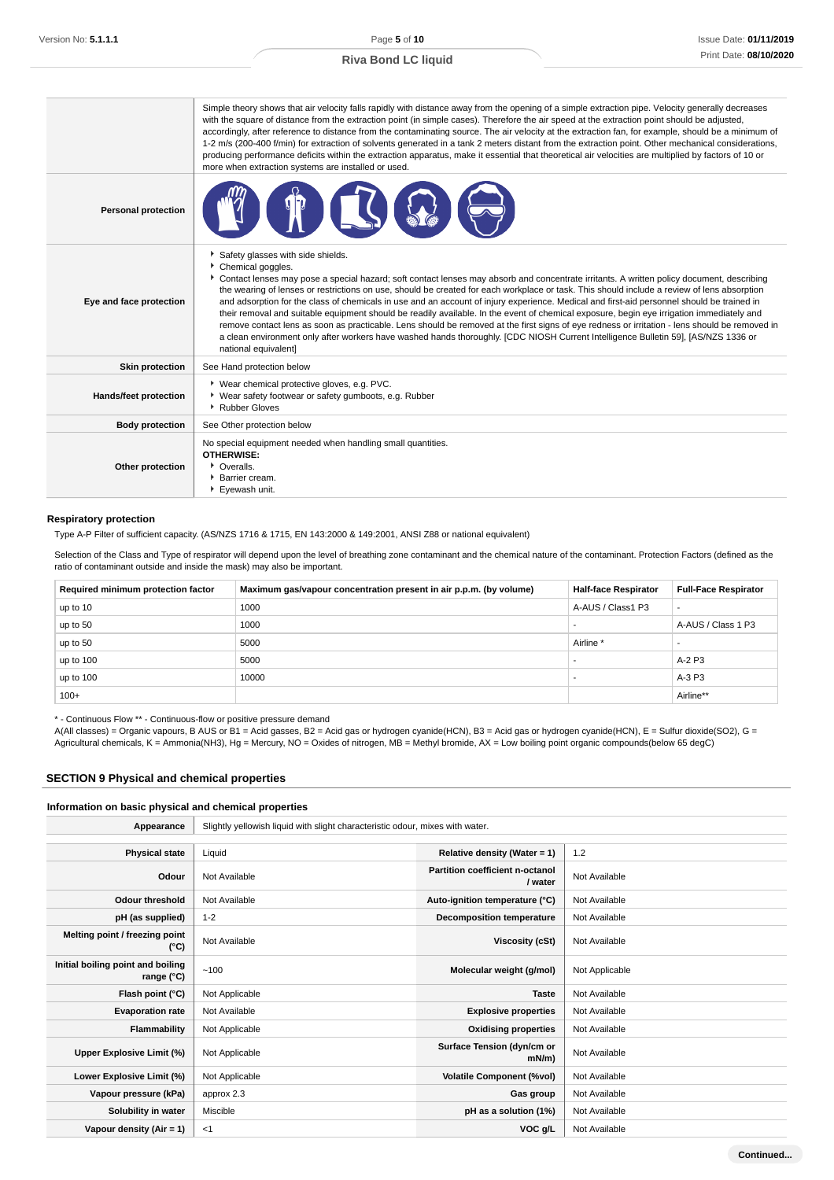|                              | Simple theory shows that air velocity falls rapidly with distance away from the opening of a simple extraction pipe. Velocity generally decreases<br>with the square of distance from the extraction point (in simple cases). Therefore the air speed at the extraction point should be adjusted,<br>accordingly, after reference to distance from the contaminating source. The air velocity at the extraction fan, for example, should be a minimum of<br>1-2 m/s (200-400 f/min) for extraction of solvents generated in a tank 2 meters distant from the extraction point. Other mechanical considerations,<br>producing performance deficits within the extraction apparatus, make it essential that theoretical air velocities are multiplied by factors of 10 or<br>more when extraction systems are installed or used.                                                                                                                                |
|------------------------------|---------------------------------------------------------------------------------------------------------------------------------------------------------------------------------------------------------------------------------------------------------------------------------------------------------------------------------------------------------------------------------------------------------------------------------------------------------------------------------------------------------------------------------------------------------------------------------------------------------------------------------------------------------------------------------------------------------------------------------------------------------------------------------------------------------------------------------------------------------------------------------------------------------------------------------------------------------------|
| <b>Personal protection</b>   |                                                                                                                                                                                                                                                                                                                                                                                                                                                                                                                                                                                                                                                                                                                                                                                                                                                                                                                                                               |
| Eye and face protection      | Safety glasses with side shields.<br>Chemical goggles.<br>Contact lenses may pose a special hazard; soft contact lenses may absorb and concentrate irritants. A written policy document, describing<br>the wearing of lenses or restrictions on use, should be created for each workplace or task. This should include a review of lens absorption<br>and adsorption for the class of chemicals in use and an account of injury experience. Medical and first-aid personnel should be trained in<br>their removal and suitable equipment should be readily available. In the event of chemical exposure, begin eye irrigation immediately and<br>remove contact lens as soon as practicable. Lens should be removed at the first signs of eye redness or irritation - lens should be removed in<br>a clean environment only after workers have washed hands thoroughly. [CDC NIOSH Current Intelligence Bulletin 59], [AS/NZS 1336 or<br>national equivalent] |
| <b>Skin protection</b>       | See Hand protection below                                                                                                                                                                                                                                                                                                                                                                                                                                                                                                                                                                                                                                                                                                                                                                                                                                                                                                                                     |
| <b>Hands/feet protection</b> | ▶ Wear chemical protective gloves, e.g. PVC.<br>• Wear safety footwear or safety gumboots, e.g. Rubber<br>Rubber Gloves                                                                                                                                                                                                                                                                                                                                                                                                                                                                                                                                                                                                                                                                                                                                                                                                                                       |
| <b>Body protection</b>       | See Other protection below                                                                                                                                                                                                                                                                                                                                                                                                                                                                                                                                                                                                                                                                                                                                                                                                                                                                                                                                    |
| Other protection             | No special equipment needed when handling small quantities.<br><b>OTHERWISE:</b><br>• Overalls.<br>Barrier cream.<br>Eyewash unit.                                                                                                                                                                                                                                                                                                                                                                                                                                                                                                                                                                                                                                                                                                                                                                                                                            |

#### **Respiratory protection**

Type A-P Filter of sufficient capacity. (AS/NZS 1716 & 1715, EN 143:2000 & 149:2001, ANSI Z88 or national equivalent)

Selection of the Class and Type of respirator will depend upon the level of breathing zone contaminant and the chemical nature of the contaminant. Protection Factors (defined as the ratio of contaminant outside and inside the mask) may also be important.

| Required minimum protection factor | Maximum gas/vapour concentration present in air p.p.m. (by volume) | <b>Half-face Respirator</b> | <b>Full-Face Respirator</b> |
|------------------------------------|--------------------------------------------------------------------|-----------------------------|-----------------------------|
| up to 10                           | 1000                                                               | A-AUS / Class1 P3           | -                           |
| up to 50                           | 1000                                                               |                             | A-AUS / Class 1 P3          |
| up to 50                           | 5000                                                               | Airline *                   |                             |
| up to 100                          | 5000                                                               |                             | A-2 P3                      |
| up to 100                          | 10000                                                              |                             | A-3 P3                      |
| $100+$                             |                                                                    |                             | Airline**                   |

\* - Continuous Flow \*\* - Continuous-flow or positive pressure demand

A(All classes) = Organic vapours, B AUS or B1 = Acid gasses, B2 = Acid gas or hydrogen cyanide(HCN), B3 = Acid gas or hydrogen cyanide(HCN), E = Sulfur dioxide(SO2), G = Agricultural chemicals, K = Ammonia(NH3), Hg = Mercury, NO = Oxides of nitrogen, MB = Methyl bromide, AX = Low boiling point organic compounds(below 65 degC)

#### **SECTION 9 Physical and chemical properties**

## **Information on basic physical and chemical properties**

| Appearance                                      | Slightly yellowish liquid with slight characteristic odour, mixes with water. |                                            |                |
|-------------------------------------------------|-------------------------------------------------------------------------------|--------------------------------------------|----------------|
|                                                 |                                                                               |                                            |                |
| <b>Physical state</b>                           | Liquid                                                                        | Relative density (Water = $1$ )            | 1.2            |
| Odour                                           | Not Available                                                                 | Partition coefficient n-octanol<br>/ water | Not Available  |
| <b>Odour threshold</b>                          | Not Available                                                                 | Auto-ignition temperature (°C)             | Not Available  |
| pH (as supplied)                                | $1 - 2$                                                                       | <b>Decomposition temperature</b>           | Not Available  |
| Melting point / freezing point<br>(°C)          | Not Available                                                                 | Viscosity (cSt)                            | Not Available  |
| Initial boiling point and boiling<br>range (°C) | ~100                                                                          | Molecular weight (g/mol)                   | Not Applicable |
| Flash point (°C)                                | Not Applicable                                                                | <b>Taste</b>                               | Not Available  |
| <b>Evaporation rate</b>                         | Not Available                                                                 | <b>Explosive properties</b>                | Not Available  |
| Flammability                                    | Not Applicable                                                                | <b>Oxidising properties</b>                | Not Available  |
| Upper Explosive Limit (%)                       | Not Applicable                                                                | Surface Tension (dyn/cm or<br>$mN/m$ )     | Not Available  |
| Lower Explosive Limit (%)                       | Not Applicable                                                                | <b>Volatile Component (%vol)</b>           | Not Available  |
| Vapour pressure (kPa)                           | approx 2.3                                                                    | Gas group                                  | Not Available  |
| Solubility in water                             | Miscible                                                                      | pH as a solution (1%)                      | Not Available  |
| Vapour density $(Air = 1)$                      | $<$ 1                                                                         | VOC g/L                                    | Not Available  |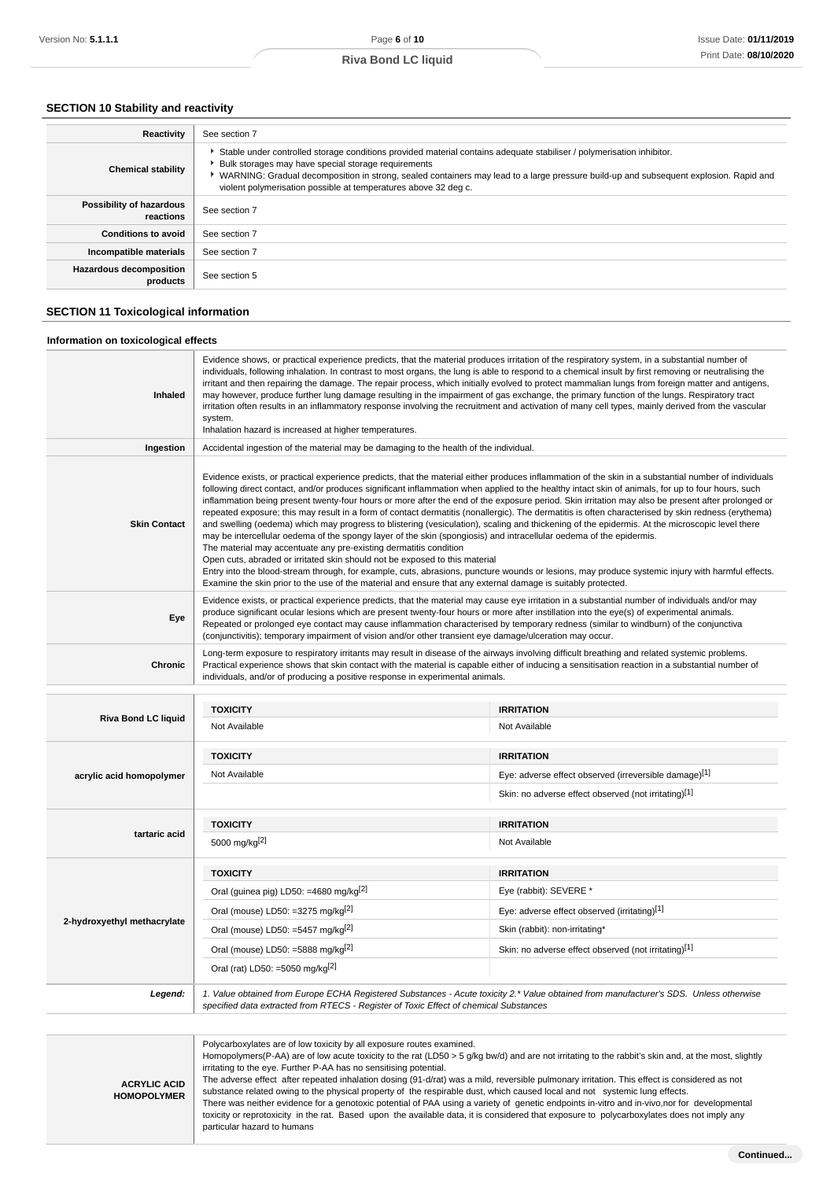## **SECTION 10 Stability and reactivity**

| Reactivity                                 | See section 7                                                                                                                                                                                                                                                                                                                                                                              |
|--------------------------------------------|--------------------------------------------------------------------------------------------------------------------------------------------------------------------------------------------------------------------------------------------------------------------------------------------------------------------------------------------------------------------------------------------|
| <b>Chemical stability</b>                  | Stable under controlled storage conditions provided material contains adequate stabiliser / polymerisation inhibitor.<br>Bulk storages may have special storage requirements<br>▶ WARNING: Gradual decomposition in strong, sealed containers may lead to a large pressure build-up and subsequent explosion. Rapid and<br>violent polymerisation possible at temperatures above 32 deg c. |
| Possibility of hazardous<br>reactions      | See section 7                                                                                                                                                                                                                                                                                                                                                                              |
| <b>Conditions to avoid</b>                 | See section 7                                                                                                                                                                                                                                                                                                                                                                              |
| Incompatible materials                     | See section 7                                                                                                                                                                                                                                                                                                                                                                              |
| <b>Hazardous decomposition</b><br>products | See section 5                                                                                                                                                                                                                                                                                                                                                                              |

## **SECTION 11 Toxicological information**

#### **Information on toxicological effects**

| <b>Inhaled</b>             | Evidence shows, or practical experience predicts, that the material produces irritation of the respiratory system, in a substantial number of<br>individuals, following inhalation. In contrast to most organs, the lung is able to respond to a chemical insult by first removing or neutralising the<br>irritant and then repairing the damage. The repair process, which initially evolved to protect mammalian lungs from foreign matter and antigens,<br>may however, produce further lung damage resulting in the impairment of gas exchange, the primary function of the lungs. Respiratory tract<br>irritation often results in an inflammatory response involving the recruitment and activation of many cell types, mainly derived from the vascular<br>system.<br>Inhalation hazard is increased at higher temperatures.                                                                                                                                                                                                                                                                                                                                                                                                                                                                                   |                                                       |
|----------------------------|-----------------------------------------------------------------------------------------------------------------------------------------------------------------------------------------------------------------------------------------------------------------------------------------------------------------------------------------------------------------------------------------------------------------------------------------------------------------------------------------------------------------------------------------------------------------------------------------------------------------------------------------------------------------------------------------------------------------------------------------------------------------------------------------------------------------------------------------------------------------------------------------------------------------------------------------------------------------------------------------------------------------------------------------------------------------------------------------------------------------------------------------------------------------------------------------------------------------------------------------------------------------------------------------------------------------------|-------------------------------------------------------|
| Ingestion                  | Accidental ingestion of the material may be damaging to the health of the individual.                                                                                                                                                                                                                                                                                                                                                                                                                                                                                                                                                                                                                                                                                                                                                                                                                                                                                                                                                                                                                                                                                                                                                                                                                                 |                                                       |
| <b>Skin Contact</b>        | Evidence exists, or practical experience predicts, that the material either produces inflammation of the skin in a substantial number of individuals<br>following direct contact, and/or produces significant inflammation when applied to the healthy intact skin of animals, for up to four hours, such<br>inflammation being present twenty-four hours or more after the end of the exposure period. Skin irritation may also be present after prolonged or<br>repeated exposure; this may result in a form of contact dermatitis (nonallergic). The dermatitis is often characterised by skin redness (erythema)<br>and swelling (oedema) which may progress to blistering (vesiculation), scaling and thickening of the epidermis. At the microscopic level there<br>may be intercellular oedema of the spongy layer of the skin (spongiosis) and intracellular oedema of the epidermis.<br>The material may accentuate any pre-existing dermatitis condition<br>Open cuts, abraded or irritated skin should not be exposed to this material<br>Entry into the blood-stream through, for example, cuts, abrasions, puncture wounds or lesions, may produce systemic injury with harmful effects.<br>Examine the skin prior to the use of the material and ensure that any external damage is suitably protected. |                                                       |
| Eye                        | Evidence exists, or practical experience predicts, that the material may cause eye irritation in a substantial number of individuals and/or may<br>produce significant ocular lesions which are present twenty-four hours or more after instillation into the eve(s) of experimental animals.<br>Repeated or prolonged eye contact may cause inflammation characterised by temporary redness (similar to windburn) of the conjunctiva<br>(conjunctivitis); temporary impairment of vision and/or other transient eye damage/ulceration may occur.                                                                                                                                                                                                                                                                                                                                                                                                                                                                                                                                                                                                                                                                                                                                                                     |                                                       |
| <b>Chronic</b>             | Long-term exposure to respiratory irritants may result in disease of the airways involving difficult breathing and related systemic problems.<br>Practical experience shows that skin contact with the material is capable either of inducing a sensitisation reaction in a substantial number of<br>individuals, and/or of producing a positive response in experimental animals.                                                                                                                                                                                                                                                                                                                                                                                                                                                                                                                                                                                                                                                                                                                                                                                                                                                                                                                                    |                                                       |
|                            |                                                                                                                                                                                                                                                                                                                                                                                                                                                                                                                                                                                                                                                                                                                                                                                                                                                                                                                                                                                                                                                                                                                                                                                                                                                                                                                       |                                                       |
| <b>Riva Bond LC liquid</b> | <b>TOXICITY</b>                                                                                                                                                                                                                                                                                                                                                                                                                                                                                                                                                                                                                                                                                                                                                                                                                                                                                                                                                                                                                                                                                                                                                                                                                                                                                                       | <b>IRRITATION</b>                                     |
|                            | Not Available                                                                                                                                                                                                                                                                                                                                                                                                                                                                                                                                                                                                                                                                                                                                                                                                                                                                                                                                                                                                                                                                                                                                                                                                                                                                                                         | Not Available                                         |
|                            | <b>TOXICITY</b>                                                                                                                                                                                                                                                                                                                                                                                                                                                                                                                                                                                                                                                                                                                                                                                                                                                                                                                                                                                                                                                                                                                                                                                                                                                                                                       | <b>IRRITATION</b>                                     |
| acrylic acid homopolymer   | Not Available                                                                                                                                                                                                                                                                                                                                                                                                                                                                                                                                                                                                                                                                                                                                                                                                                                                                                                                                                                                                                                                                                                                                                                                                                                                                                                         | Eye: adverse effect observed (irreversible damage)[1] |

Skin: no adverse effect observed (not irritating)<sup>[1]</sup>

| tartaric acid               | <b>TOXICITY</b><br>5000 mg/kg <sup>[2]</sup>                                                                                                                                                                                    | <b>IRRITATION</b><br>Not Available                   |
|-----------------------------|---------------------------------------------------------------------------------------------------------------------------------------------------------------------------------------------------------------------------------|------------------------------------------------------|
|                             | <b>TOXICITY</b>                                                                                                                                                                                                                 | <b>IRRITATION</b>                                    |
|                             | Oral (guinea pig) LD50: =4680 mg/kg <sup>[2]</sup>                                                                                                                                                                              | Eye (rabbit): SEVERE *                               |
|                             | Oral (mouse) LD50: =3275 mg/kg $[2]$                                                                                                                                                                                            | Eye: adverse effect observed (irritating)[1]         |
| 2-hydroxyethyl methacrylate | Oral (mouse) LD50: =5457 mg/kg $[2]$                                                                                                                                                                                            | Skin (rabbit): non-irritating*                       |
|                             | Oral (mouse) LD50: =5888 mg/kg $[2]$                                                                                                                                                                                            | Skin: no adverse effect observed (not irritating)[1] |
|                             | Oral (rat) LD50: =5050 mg/kg <sup>[2]</sup>                                                                                                                                                                                     |                                                      |
| Legend:                     | 1. Value obtained from Europe ECHA Registered Substances - Acute toxicity 2.* Value obtained from manufacturer's SDS. Unless otherwise<br>specified data extracted from RTECS - Register of Toxic Effect of chemical Substances |                                                      |

**ACRYLIC ACID HOMOPOLYMER** Polycarboxylates are of low toxicity by all exposure routes examined. Homopolymers(P-AA) are of low acute toxicity to the rat (LD50 > 5 g/kg bw/d) and are not irritating to the rabbit's skin and, at the most, slightly irritating to the eye. Further P-AA has no sensitising potential. The adverse effect after repeated inhalation dosing (91-d/rat) was a mild, reversible pulmonary irritation. This effect is considered as not substance related owing to the physical property of the respirable dust, which caused local and not systemic lung effects. There was neither evidence for a genotoxic potential of PAA using a variety of genetic endpoints in-vitro and in-vivo,nor for developmental toxicity or reprotoxicity in the rat. Based upon the available data, it is considered that exposure to polycarboxylates does not imply any

particular hazard to humans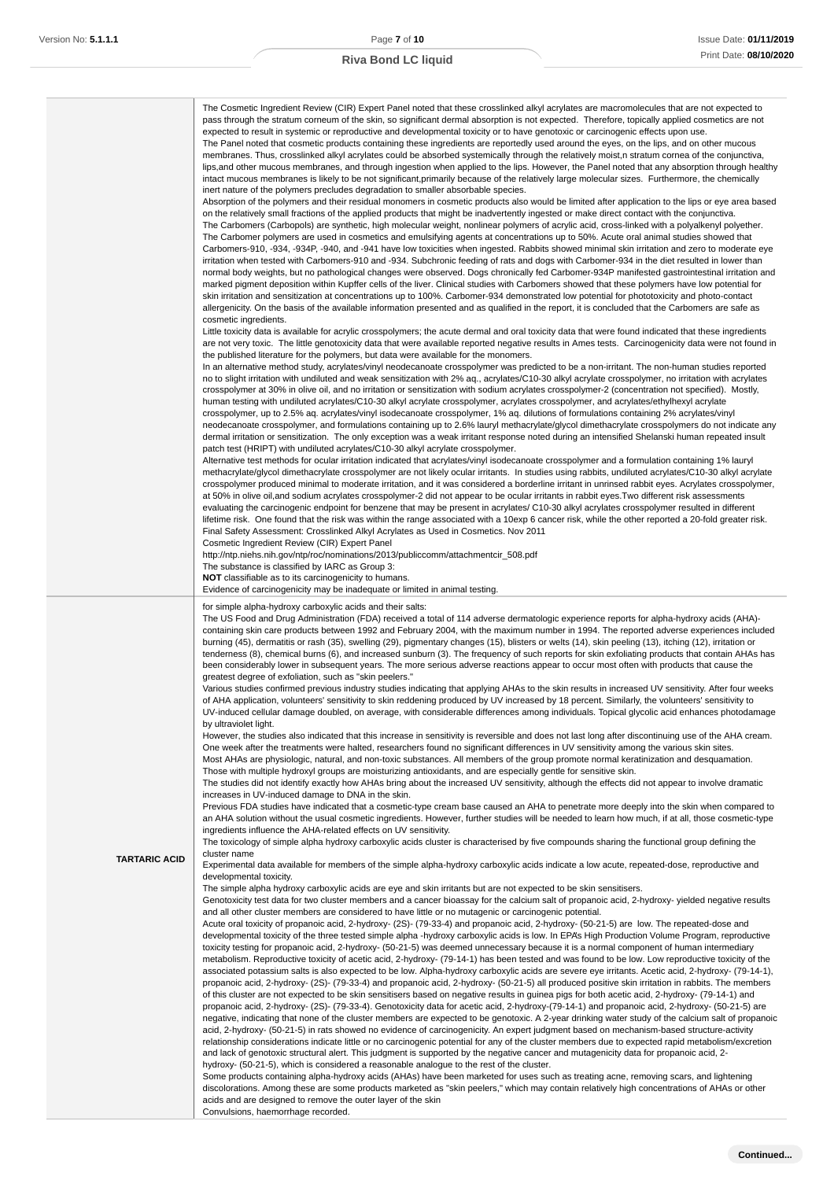|                      | The Cosmetic Ingredient Review (CIR) Expert Panel noted that these crosslinked alkyl acrylates are macromolecules that are not expected to<br>pass through the stratum corneum of the skin, so significant dermal absorption is not expected. Therefore, topically applied cosmetics are not<br>expected to result in systemic or reproductive and developmental toxicity or to have genotoxic or carcinogenic effects upon use.<br>The Panel noted that cosmetic products containing these ingredients are reportedly used around the eyes, on the lips, and on other mucous<br>membranes. Thus, crosslinked alkyl acrylates could be absorbed systemically through the relatively moist,n stratum cornea of the conjunctiva,<br>lips, and other mucous membranes, and through ingestion when applied to the lips. However, the Panel noted that any absorption through healthy<br>intact mucous membranes is likely to be not significant, primarily because of the relatively large molecular sizes. Furthermore, the chemically<br>inert nature of the polymers precludes degradation to smaller absorbable species.<br>Absorption of the polymers and their residual monomers in cosmetic products also would be limited after application to the lips or eye area based<br>on the relatively small fractions of the applied products that might be inadvertently ingested or make direct contact with the conjunctiva.<br>The Carbomers (Carbopols) are synthetic, high molecular weight, nonlinear polymers of acrylic acid, cross-linked with a polyalkenyl polyether.<br>The Carbomer polymers are used in cosmetics and emulsifying agents at concentrations up to 50%. Acute oral animal studies showed that<br>Carbomers-910, -934, -934P, -940, and -941 have low toxicities when ingested. Rabbits showed minimal skin irritation and zero to moderate eye<br>irritation when tested with Carbomers-910 and -934. Subchronic feeding of rats and dogs with Carbomer-934 in the diet resulted in lower than<br>normal body weights, but no pathological changes were observed. Dogs chronically fed Carbomer-934P manifested gastrointestinal irritation and<br>marked pigment deposition within Kupffer cells of the liver. Clinical studies with Carbomers showed that these polymers have low potential for<br>skin irritation and sensitization at concentrations up to 100%. Carbomer-934 demonstrated low potential for phototoxicity and photo-contact<br>allergenicity. On the basis of the available information presented and as qualified in the report, it is concluded that the Carbomers are safe as<br>cosmetic ingredients.<br>Little toxicity data is available for acrylic crosspolymers; the acute dermal and oral toxicity data that were found indicated that these ingredients<br>are not very toxic. The little genotoxicity data that were available reported negative results in Ames tests. Carcinogenicity data were not found in<br>the published literature for the polymers, but data were available for the monomers.<br>In an alternative method study, acrylates/vinyl neodecanoate crosspolymer was predicted to be a non-irritant. The non-human studies reported<br>no to slight irritation with undiluted and weak sensitization with 2% aq., acrylates/C10-30 alkyl acrylate crosspolymer, no irritation with acrylates<br>crosspolymer at 30% in olive oil, and no irritation or sensitization with sodium acrylates crosspolymer-2 (concentration not specified). Mostly,<br>human testing with undiluted acrylates/C10-30 alkyl acrylate crosspolymer, acrylates crosspolymer, and acrylates/ethylhexyl acrylate<br>crosspolymer, up to 2.5% aq. acrylates/vinyl isodecanoate crosspolymer, 1% aq. dilutions of formulations containing 2% acrylates/vinyl<br>neodecanoate crosspolymer, and formulations containing up to 2.6% lauryl methacrylate/glycol dimethacrylate crosspolymers do not indicate any<br>dermal irritation or sensitization. The only exception was a weak irritant response noted during an intensified Shelanski human repeated insult<br>patch test (HRIPT) with undiluted acrylates/C10-30 alkyl acrylate crosspolymer.<br>Alternative test methods for ocular irritation indicated that acrylates/vinyl isodecanoate crosspolymer and a formulation containing 1% lauryl<br>methacrylate/glycol dimethacrylate crosspolymer are not likely ocular irritants. In studies using rabbits, undiluted acrylates/C10-30 alkyl acrylate<br>crosspolymer produced minimal to moderate irritation, and it was considered a borderline irritant in unrinsed rabbit eyes. Acrylates crosspolymer,<br>at 50% in olive oil, and sodium acrylates crosspolymer-2 did not appear to be ocular irritants in rabbit eyes. Two different risk assessments<br>evaluating the carcinogenic endpoint for benzene that may be present in acrylates/C10-30 alkyl acrylates crosspolymer resulted in different<br>lifetime risk. One found that the risk was within the range associated with a 10exp 6 cancer risk, while the other reported a 20-fold greater risk.<br>Final Safety Assessment: Crosslinked Alkyl Acrylates as Used in Cosmetics. Nov 2011<br>Cosmetic Ingredient Review (CIR) Expert Panel<br>http://ntp.niehs.nih.gov/ntp/roc/nominations/2013/publiccomm/attachmentcir_508.pdf<br>The substance is classified by IARC as Group 3:<br><b>NOT</b> classifiable as to its carcinogenicity to humans.<br>Evidence of carcinogenicity may be inadequate or limited in animal testing. |
|----------------------|----------------------------------------------------------------------------------------------------------------------------------------------------------------------------------------------------------------------------------------------------------------------------------------------------------------------------------------------------------------------------------------------------------------------------------------------------------------------------------------------------------------------------------------------------------------------------------------------------------------------------------------------------------------------------------------------------------------------------------------------------------------------------------------------------------------------------------------------------------------------------------------------------------------------------------------------------------------------------------------------------------------------------------------------------------------------------------------------------------------------------------------------------------------------------------------------------------------------------------------------------------------------------------------------------------------------------------------------------------------------------------------------------------------------------------------------------------------------------------------------------------------------------------------------------------------------------------------------------------------------------------------------------------------------------------------------------------------------------------------------------------------------------------------------------------------------------------------------------------------------------------------------------------------------------------------------------------------------------------------------------------------------------------------------------------------------------------------------------------------------------------------------------------------------------------------------------------------------------------------------------------------------------------------------------------------------------------------------------------------------------------------------------------------------------------------------------------------------------------------------------------------------------------------------------------------------------------------------------------------------------------------------------------------------------------------------------------------------------------------------------------------------------------------------------------------------------------------------------------------------------------------------------------------------------------------------------------------------------------------------------------------------------------------------------------------------------------------------------------------------------------------------------------------------------------------------------------------------------------------------------------------------------------------------------------------------------------------------------------------------------------------------------------------------------------------------------------------------------------------------------------------------------------------------------------------------------------------------------------------------------------------------------------------------------------------------------------------------------------------------------------------------------------------------------------------------------------------------------------------------------------------------------------------------------------------------------------------------------------------------------------------------------------------------------------------------------------------------------------------------------------------------------------------------------------------------------------------------------------------------------------------------------------------------------------------------------------------------------------------------------------------------------------------------------------------------------------------------------------------------------------------------------------------------------------------------------------------------------------------------------------------------------------------------------------------------------------------------------------------------------------------------------------------------------------------------------------------------------------------------------------------------------------------------------------------------------------------------------------------------------------------------------------------------------------------------------------------------------------------------------------------------------------------------------------------------------------------------------------------------------------------------------------------------------------------------------------------------------------------------------------------------------------------------------------------------------------------------------------------------------------------------------------------------------------------|
| <b>TARTARIC ACID</b> | for simple alpha-hydroxy carboxylic acids and their salts:<br>The US Food and Drug Administration (FDA) received a total of 114 adverse dermatologic experience reports for alpha-hydroxy acids (AHA)-<br>containing skin care products between 1992 and February 2004, with the maximum number in 1994. The reported adverse experiences included<br>burning (45), dermatitis or rash (35), swelling (29), pigmentary changes (15), blisters or welts (14), skin peeling (13), itching (12), irritation or<br>tenderness (8), chemical burns (6), and increased sunburn (3). The frequency of such reports for skin exfoliating products that contain AHAs has<br>been considerably lower in subsequent years. The more serious adverse reactions appear to occur most often with products that cause the<br>greatest degree of exfoliation, such as "skin peelers."<br>Various studies confirmed previous industry studies indicating that applying AHAs to the skin results in increased UV sensitivity. After four weeks<br>of AHA application, volunteers' sensitivity to skin reddening produced by UV increased by 18 percent. Similarly, the volunteers' sensitivity to<br>UV-induced cellular damage doubled, on average, with considerable differences among individuals. Topical glycolic acid enhances photodamage<br>by ultraviolet light.<br>However, the studies also indicated that this increase in sensitivity is reversible and does not last long after discontinuing use of the AHA cream.<br>One week after the treatments were halted, researchers found no significant differences in UV sensitivity among the various skin sites.<br>Most AHAs are physiologic, natural, and non-toxic substances. All members of the group promote normal keratinization and desquamation.<br>Those with multiple hydroxyl groups are moisturizing antioxidants, and are especially gentle for sensitive skin.<br>The studies did not identify exactly how AHAs bring about the increased UV sensitivity, although the effects did not appear to involve dramatic<br>increases in UV-induced damage to DNA in the skin.<br>Previous FDA studies have indicated that a cosmetic-type cream base caused an AHA to penetrate more deeply into the skin when compared to<br>an AHA solution without the usual cosmetic ingredients. However, further studies will be needed to learn how much, if at all, those cosmetic-type<br>ingredients influence the AHA-related effects on UV sensitivity.<br>The toxicology of simple alpha hydroxy carboxylic acids cluster is characterised by five compounds sharing the functional group defining the<br>cluster name<br>Experimental data available for members of the simple alpha-hydroxy carboxylic acids indicate a low acute, repeated-dose, reproductive and<br>developmental toxicity.<br>The simple alpha hydroxy carboxylic acids are eye and skin irritants but are not expected to be skin sensitisers.<br>Genotoxicity test data for two cluster members and a cancer bioassay for the calcium salt of propanoic acid, 2-hydroxy-yielded negative results<br>and all other cluster members are considered to have little or no mutagenic or carcinogenic potential.<br>Acute oral toxicity of propanoic acid, 2-hydroxy- (2S)- (79-33-4) and propanoic acid, 2-hydroxy- (50-21-5) are low. The repeated-dose and<br>developmental toxicity of the three tested simple alpha -hydroxy carboxylic acids is low. In EPA's High Production Volume Program, reproductive<br>toxicity testing for propanoic acid, 2-hydroxy- (50-21-5) was deemed unnecessary because it is a normal component of human intermediary<br>metabolism. Reproductive toxicity of acetic acid, 2-hydroxy- (79-14-1) has been tested and was found to be low. Low reproductive toxicity of the<br>associated potassium salts is also expected to be low. Alpha-hydroxy carboxylic acids are severe eye irritants. Acetic acid, 2-hydroxy- (79-14-1),<br>propanoic acid, 2-hydroxy- (2S)- (79-33-4) and propanoic acid, 2-hydroxy- (50-21-5) all produced positive skin irritation in rabbits. The members<br>of this cluster are not expected to be skin sensitisers based on negative results in guinea pigs for both acetic acid, 2-hydroxy- (79-14-1) and<br>propanoic acid, 2-hydroxy- (2S)- (79-33-4). Genotoxicity data for acetic acid, 2-hydroxy-(79-14-1) and propanoic acid, 2-hydroxy- (50-21-5) are<br>negative, indicating that none of the cluster members are expected to be genotoxic. A 2-year drinking water study of the calcium salt of propanoic<br>acid, 2-hydroxy- (50-21-5) in rats showed no evidence of carcinogenicity. An expert judgment based on mechanism-based structure-activity<br>relationship considerations indicate little or no carcinogenic potential for any of the cluster members due to expected rapid metabolism/excretion<br>and lack of genotoxic structural alert. This judgment is supported by the negative cancer and mutagenicity data for propanoic acid, 2-<br>hydroxy- (50-21-5), which is considered a reasonable analogue to the rest of the cluster.<br>Some products containing alpha-hydroxy acids (AHAs) have been marketed for uses such as treating acne, removing scars, and lightening<br>discolorations. Among these are some products marketed as "skin peelers," which may contain relatively high concentrations of AHAs or other<br>acids and are designed to remove the outer layer of the skin<br>Convulsions, haemorrhage recorded.                |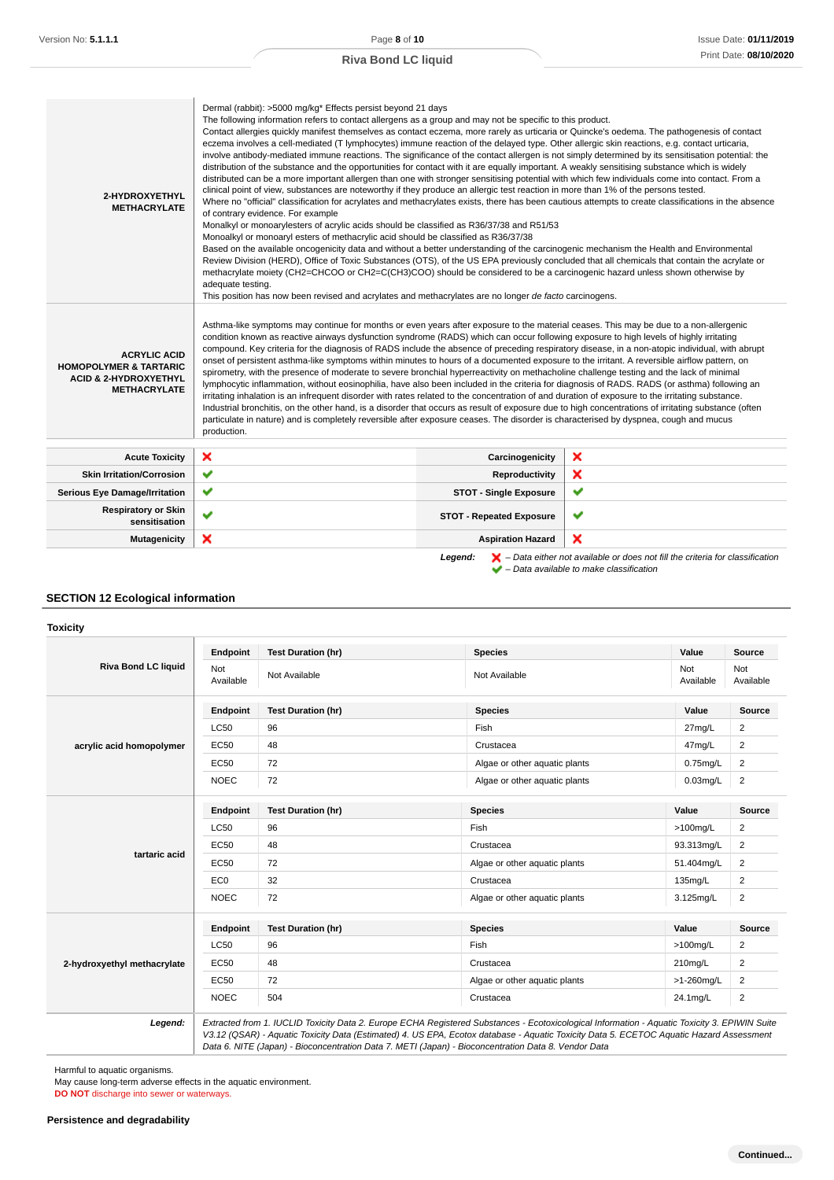| 2-HYDROXYETHYL<br><b>METHACRYLATE</b>                                                                               | Dermal (rabbit): >5000 mg/kg* Effects persist beyond 21 days<br>The following information refers to contact allergens as a group and may not be specific to this product.<br>Contact allergies quickly manifest themselves as contact eczema, more rarely as urticaria or Quincke's oedema. The pathogenesis of contact<br>eczema involves a cell-mediated (T lymphocytes) immune reaction of the delayed type. Other allergic skin reactions, e.g. contact urticaria,<br>involve antibody-mediated immune reactions. The significance of the contact allergen is not simply determined by its sensitisation potential: the<br>distribution of the substance and the opportunities for contact with it are equally important. A weakly sensitising substance which is widely<br>distributed can be a more important allergen than one with stronger sensitising potential with which few individuals come into contact. From a<br>clinical point of view, substances are noteworthy if they produce an allergic test reaction in more than 1% of the persons tested.<br>Where no "official" classification for acrylates and methacrylates exists, there has been cautious attempts to create classifications in the absence<br>of contrary evidence. For example<br>Monalkyl or monoarylesters of acrylic acids should be classified as R36/37/38 and R51/53<br>Monoalkyl or monoaryl esters of methacrylic acid should be classified as R36/37/38<br>Based on the available oncogenicity data and without a better understanding of the carcinogenic mechanism the Health and Environmental<br>Review Division (HERD), Office of Toxic Substances (OTS), of the US EPA previously concluded that all chemicals that contain the acrylate or<br>methacrylate moiety (CH2=CHCOO or CH2=C(CH3)COO) should be considered to be a carcinogenic hazard unless shown otherwise by<br>adequate testing.<br>This position has now been revised and acrylates and methacrylates are no longer de facto carcinogens. |                                 |                                                                                                                                                                     |
|---------------------------------------------------------------------------------------------------------------------|-------------------------------------------------------------------------------------------------------------------------------------------------------------------------------------------------------------------------------------------------------------------------------------------------------------------------------------------------------------------------------------------------------------------------------------------------------------------------------------------------------------------------------------------------------------------------------------------------------------------------------------------------------------------------------------------------------------------------------------------------------------------------------------------------------------------------------------------------------------------------------------------------------------------------------------------------------------------------------------------------------------------------------------------------------------------------------------------------------------------------------------------------------------------------------------------------------------------------------------------------------------------------------------------------------------------------------------------------------------------------------------------------------------------------------------------------------------------------------------------------------------------------------------------------------------------------------------------------------------------------------------------------------------------------------------------------------------------------------------------------------------------------------------------------------------------------------------------------------------------------------------------------------------------------------------------------------------------------------------------------------------|---------------------------------|---------------------------------------------------------------------------------------------------------------------------------------------------------------------|
| <b>ACRYLIC ACID</b><br><b>HOMOPOLYMER &amp; TARTARIC</b><br><b>ACID &amp; 2-HYDROXYETHYL</b><br><b>METHACRYLATE</b> | Asthma-like symptoms may continue for months or even years after exposure to the material ceases. This may be due to a non-allergenic<br>condition known as reactive airways dysfunction syndrome (RADS) which can occur following exposure to high levels of highly irritating<br>compound. Key criteria for the diagnosis of RADS include the absence of preceding respiratory disease, in a non-atopic individual, with abrupt<br>onset of persistent asthma-like symptoms within minutes to hours of a documented exposure to the irritant. A reversible airflow pattern, on<br>spirometry, with the presence of moderate to severe bronchial hyperreactivity on methacholine challenge testing and the lack of minimal<br>lymphocytic inflammation, without eosinophilia, have also been included in the criteria for diagnosis of RADS. RADS (or asthma) following an<br>irritating inhalation is an infrequent disorder with rates related to the concentration of and duration of exposure to the irritating substance.<br>Industrial bronchitis, on the other hand, is a disorder that occurs as result of exposure due to high concentrations of irritating substance (often<br>particulate in nature) and is completely reversible after exposure ceases. The disorder is characterised by dyspnea, cough and mucus<br>production.                                                                                                                                                                                                                                                                                                                                                                                                                                                                                                                                                                                                                                                               |                                 |                                                                                                                                                                     |
| <b>Acute Toxicity</b>                                                                                               | ×                                                                                                                                                                                                                                                                                                                                                                                                                                                                                                                                                                                                                                                                                                                                                                                                                                                                                                                                                                                                                                                                                                                                                                                                                                                                                                                                                                                                                                                                                                                                                                                                                                                                                                                                                                                                                                                                                                                                                                                                           | Carcinogenicity                 | ×                                                                                                                                                                   |
| <b>Skin Irritation/Corrosion</b>                                                                                    | ✔                                                                                                                                                                                                                                                                                                                                                                                                                                                                                                                                                                                                                                                                                                                                                                                                                                                                                                                                                                                                                                                                                                                                                                                                                                                                                                                                                                                                                                                                                                                                                                                                                                                                                                                                                                                                                                                                                                                                                                                                           | Reproductivity                  | ×                                                                                                                                                                   |
| <b>Serious Eye Damage/Irritation</b>                                                                                | $\checkmark$                                                                                                                                                                                                                                                                                                                                                                                                                                                                                                                                                                                                                                                                                                                                                                                                                                                                                                                                                                                                                                                                                                                                                                                                                                                                                                                                                                                                                                                                                                                                                                                                                                                                                                                                                                                                                                                                                                                                                                                                | <b>STOT - Single Exposure</b>   | ✔                                                                                                                                                                   |
| <b>Respiratory or Skin</b><br>sensitisation                                                                         | $\checkmark$                                                                                                                                                                                                                                                                                                                                                                                                                                                                                                                                                                                                                                                                                                                                                                                                                                                                                                                                                                                                                                                                                                                                                                                                                                                                                                                                                                                                                                                                                                                                                                                                                                                                                                                                                                                                                                                                                                                                                                                                | <b>STOT - Repeated Exposure</b> | ✔                                                                                                                                                                   |
| <b>Mutagenicity</b>                                                                                                 | ×                                                                                                                                                                                                                                                                                                                                                                                                                                                                                                                                                                                                                                                                                                                                                                                                                                                                                                                                                                                                                                                                                                                                                                                                                                                                                                                                                                                                                                                                                                                                                                                                                                                                                                                                                                                                                                                                                                                                                                                                           | <b>Aspiration Hazard</b>        | ×                                                                                                                                                                   |
|                                                                                                                     |                                                                                                                                                                                                                                                                                                                                                                                                                                                                                                                                                                                                                                                                                                                                                                                                                                                                                                                                                                                                                                                                                                                                                                                                                                                                                                                                                                                                                                                                                                                                                                                                                                                                                                                                                                                                                                                                                                                                                                                                             | Legend:                         | $\blacktriangleright$ – Data either not available or does not fill the criteria for classification<br>$\blacktriangleright$ - Data available to make classification |

## **SECTION 12 Ecological information**

#### **Toxicity**

|                             | Endpoint         | <b>Test Duration (hr)</b> | <b>Species</b>                | Value            | Source           |
|-----------------------------|------------------|---------------------------|-------------------------------|------------------|------------------|
| <b>Riva Bond LC liquid</b>  | Not<br>Available | Not Available             | Not Available                 | Not<br>Available | Not<br>Available |
|                             | Endpoint         | <b>Test Duration (hr)</b> | <b>Species</b>                | Value            | <b>Source</b>    |
|                             | <b>LC50</b>      | 96                        | Fish                          | 27mg/L           | 2                |
| acrylic acid homopolymer    | EC50             | 48                        | Crustacea                     | 47mg/L           | 2                |
|                             | <b>EC50</b>      | 72                        | Algae or other aquatic plants | $0.75$ mg/L      | 2                |
|                             | <b>NOEC</b>      | 72                        | Algae or other aquatic plants | $0.03$ mg/L      | $\overline{2}$   |
|                             | Endpoint         | <b>Test Duration (hr)</b> | <b>Species</b>                | Value            | <b>Source</b>    |
|                             | <b>LC50</b>      | 96                        | Fish                          | $>100$ mg/L      | 2                |
|                             | EC50             | 48                        | Crustacea                     | 93.313mg/L       | 2                |
| tartaric acid               | EC50             | 72                        | Algae or other aquatic plants | 51.404mg/L       | $\overline{2}$   |
|                             | EC <sub>0</sub>  | 32                        | Crustacea                     | 135mg/L          | 2                |
|                             | <b>NOEC</b>      | 72                        | Algae or other aquatic plants | 3.125mg/L        | $\overline{2}$   |
|                             | Endpoint         | <b>Test Duration (hr)</b> | <b>Species</b>                | Value            | Source           |
|                             | <b>LC50</b>      | 96                        | Fish                          | $>100$ mg/L      | 2                |
| 2-hydroxyethyl methacrylate | <b>EC50</b>      | 48                        | Crustacea                     | 210mg/L          | 2                |
|                             | <b>EC50</b>      | 72                        | Algae or other aquatic plants | >1-260mg/L       | 2                |
|                             | <b>NOEC</b>      | 504                       | Crustacea                     | 24.1mg/L         | 2                |

V3.12 (QSAR) - Aquatic Toxicity Data (Estimated) 4. US EPA, Ecotox database - Aquatic Toxicity Data 5. ECETOC Aquatic Hazard Assessment Data 6. NITE (Japan) - Bioconcentration Data 7. METI (Japan) - Bioconcentration Data 8. Vendor Data

Harmful to aquatic organisms.

May cause long-term adverse effects in the aquatic environment.

**DO NOT** discharge into sewer or waterways.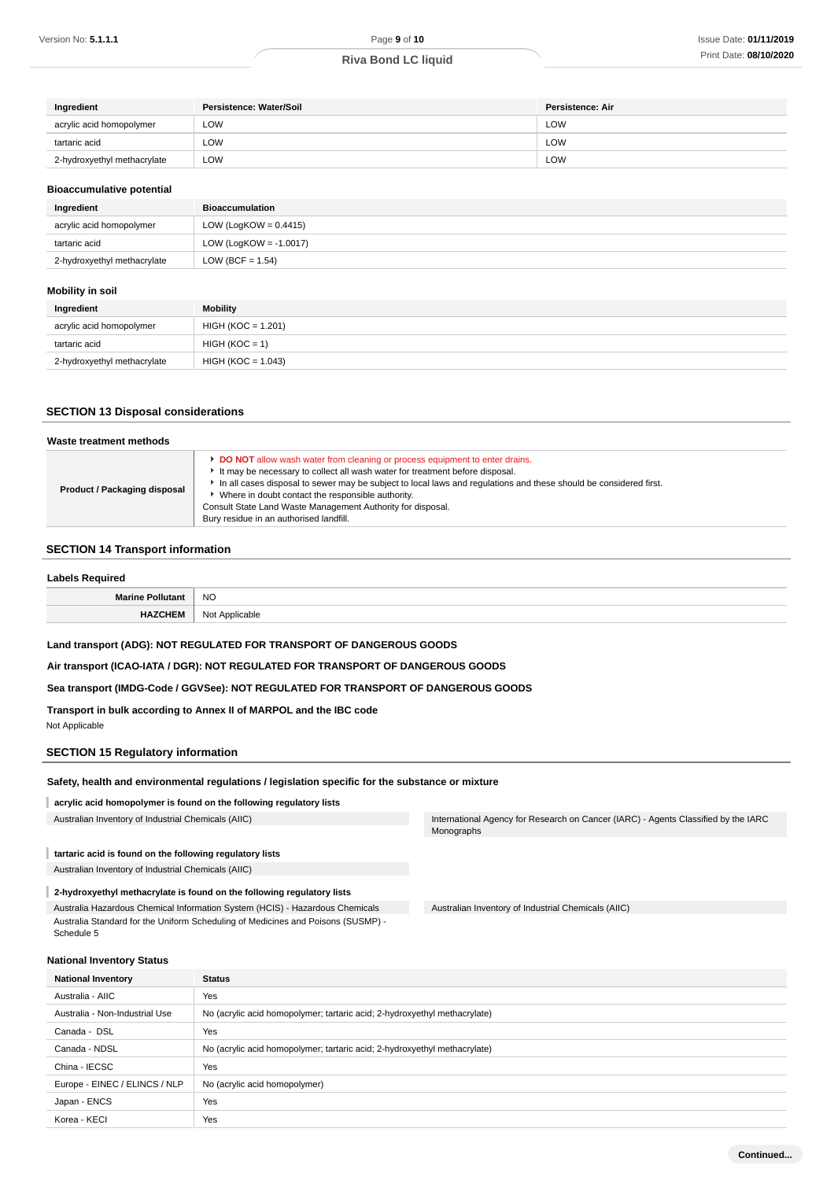| Ingredient                  | Persistence: Water/Soil | Persistence: Air |
|-----------------------------|-------------------------|------------------|
| acrylic acid homopolymer    | LOW                     | LOW              |
| tartaric acid               | LOW                     | LOW              |
| 2-hydroxyethyl methacrylate | <b>LOW</b>              | LOW              |

#### **Bioaccumulative potential**

| Ingredient                  | Bioaccumulation           |
|-----------------------------|---------------------------|
| acrylic acid homopolymer    | LOW (LogKOW = $0.4415$ )  |
| tartaric acid               | LOW (LogKOW = $-1.0017$ ) |
| 2-hydroxyethyl methacrylate | LOW (BCF = $1.54$ )       |

#### **Mobility in soil**

| Ingredient                  | <b>Mobility</b>      |
|-----------------------------|----------------------|
| acrylic acid homopolymer    | $HIGH (KOC = 1.201)$ |
| tartaric acid               | $HIGH (KOC = 1)$     |
| 2-hydroxyethyl methacrylate | $HIGH (KOC = 1.043)$ |

#### **SECTION 13 Disposal considerations**

| Waste treatment methods      |                                                                                                                                                                                                                                                                                                                                                                                                                                                        |
|------------------------------|--------------------------------------------------------------------------------------------------------------------------------------------------------------------------------------------------------------------------------------------------------------------------------------------------------------------------------------------------------------------------------------------------------------------------------------------------------|
| Product / Packaging disposal | <b>DO NOT</b> allow wash water from cleaning or process equipment to enter drains.<br>It may be necessary to collect all wash water for treatment before disposal.<br>In all cases disposal to sewer may be subject to local laws and regulations and these should be considered first.<br>Where in doubt contact the responsible authority.<br>Consult State Land Waste Management Authority for disposal.<br>Bury residue in an authorised landfill. |

## **SECTION 14 Transport information**

| <b>Labels Required</b>  |                |
|-------------------------|----------------|
| <b>Marine Pollutant</b> | <b>NO</b>      |
| <b>HAZCHEM</b>          | Not Applicable |

#### **Land transport (ADG): NOT REGULATED FOR TRANSPORT OF DANGEROUS GOODS**

**Air transport (ICAO-IATA / DGR): NOT REGULATED FOR TRANSPORT OF DANGEROUS GOODS**

#### **Sea transport (IMDG-Code / GGVSee): NOT REGULATED FOR TRANSPORT OF DANGEROUS GOODS**

**Transport in bulk according to Annex II of MARPOL and the IBC code**

#### Not Applicable

#### **SECTION 15 Regulatory information**

#### **Safety, health and environmental regulations / legislation specific for the substance or mixture**

#### **acrylic acid homopolymer is found on the following regulatory lists**

#### **tartaric acid is found on the following regulatory lists**

Australian Inventory of Industrial Chemicals (AIIC)

#### **2-hydroxyethyl methacrylate is found on the following regulatory lists**

Australia Hazardous Chemical Information System (HCIS) - Hazardous Chemicals Australia Standard for the Uniform Scheduling of Medicines and Poisons (SUSMP) - Schedule 5

Australian Inventory of Industrial Chemicals (AIIC) **International Agency for Research on Cancer (IARC)** - Agents Classified by the IARC Monographs

Australian Inventory of Industrial Chemicals (AIIC)

## **National Inventory Status**

| <b>National Inventory</b>      | <b>Status</b>                                                             |
|--------------------------------|---------------------------------------------------------------------------|
| Australia - AIIC               | Yes                                                                       |
| Australia - Non-Industrial Use | No (acrylic acid homopolymer; tartaric acid; 2-hydroxyethyl methacrylate) |
| Canada - DSL                   | Yes                                                                       |
| Canada - NDSL                  | No (acrylic acid homopolymer; tartaric acid; 2-hydroxyethyl methacrylate) |
| China - IECSC                  | Yes                                                                       |
| Europe - EINEC / ELINCS / NLP  | No (acrylic acid homopolymer)                                             |
| Japan - ENCS                   | Yes                                                                       |
| Korea - KECI                   | Yes                                                                       |